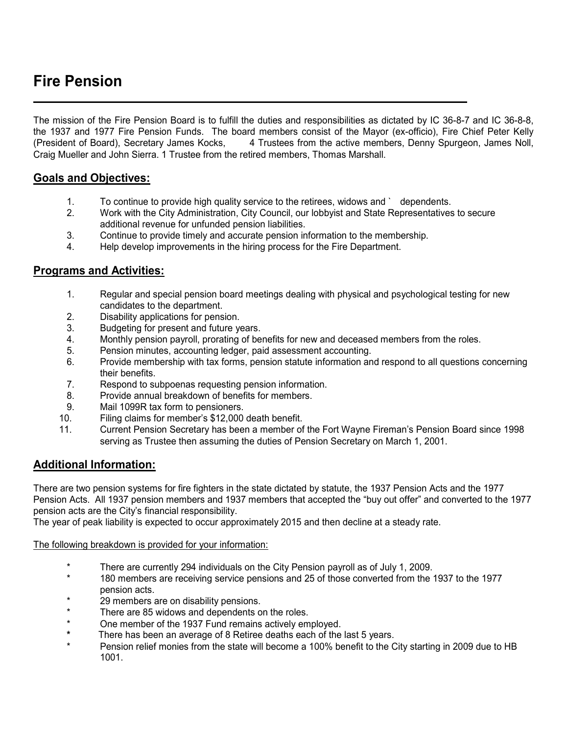# **Fire Pension**

The mission of the Fire Pension Board is to fulfill the duties and responsibilities as dictated by IC 36-8-7 and IC 36-8-8, the 1937 and 1977 Fire Pension Funds. The board members consist of the Mayor (ex-officio), Fire Chief Peter Kelly<br>(President of Board), Secretary James Kocks, 4 Trustees from the active members, Denny Spurgeon, James Noll, 4 Trustees from the active members, Denny Spurgeon, James Noll, Craig Mueller and John Sierra. 1 Trustee from the retired members, Thomas Marshall.

## **Goals and Objectives:**

- 1. To continue to provide high quality service to the retirees, widows and ` dependents.
- 2. Work with the City Administration, City Council, our lobbyist and State Representatives to secure additional revenue for unfunded pension liabilities.
- 3. Continue to provide timely and accurate pension information to the membership.
- 4. Help develop improvements in the hiring process for the Fire Department.

#### **Programs and Activities:**

- 1. Regular and special pension board meetings dealing with physical and psychological testing for new candidates to the department.
- 2. Disability applications for pension.
- 3. Budgeting for present and future years.
- 4. Monthly pension payroll, prorating of benefits for new and deceased members from the roles.
- 5. Pension minutes, accounting ledger, paid assessment accounting.
- 6. Provide membership with tax forms, pension statute information and respond to all questions concerning their benefits.
- 7. Respond to subpoenas requesting pension information.
- 8. Provide annual breakdown of benefits for members.
- 9. Mail 1099R tax form to pensioners.
- 10. Filing claims for member's \$12,000 death benefit.
- 11. Current Pension Secretary has been a member of the Fort Wayne Fireman's Pension Board since 1998 serving as Trustee then assuming the duties of Pension Secretary on March 1, 2001.

### **Additional Information:**

There are two pension systems for fire fighters in the state dictated by statute, the 1937 Pension Acts and the 1977 Pension Acts. All 1937 pension members and 1937 members that accepted the "buy out offer" and converted to the 1977 pension acts are the City's financial responsibility.

The year of peak liability is expected to occur approximately 2015 and then decline at a steady rate.

#### The following breakdown is provided for your information:

- \* There are currently 294 individuals on the City Pension payroll as of July 1, 2009.
- 180 members are receiving service pensions and 25 of those converted from the 1937 to the 1977 pension acts.
- \* 29 members are on disability pensions.
- There are 85 widows and dependents on the roles.
- \* One member of the 1937 Fund remains actively employed.<br>\* There has been an average of 8 Potiree deaths ageh of the
- There has been an average of 8 Retiree deaths each of the last 5 years.
- Pension relief monies from the state will become a 100% benefit to the City starting in 2009 due to HB 1001.